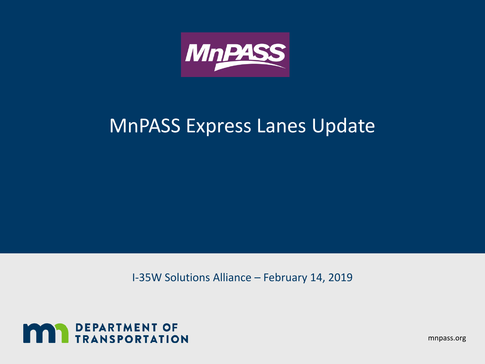

### MnPASS Express Lanes Update

I-35W Solutions Alliance – February 14, 2019



mnpass.org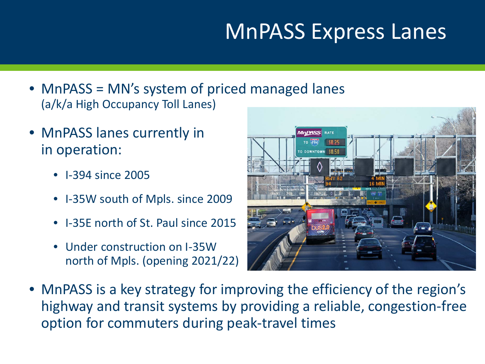# MnPASS Express Lanes

- MnPASS = MN's system of priced managed lanes (a/k/a High Occupancy Toll Lanes)
- MnPASS lanes currently in in operation:
	- I-394 since 2005
	- I-35W south of Mpls. since 2009
	- I-35E north of St. Paul since 2015
	- Under construction on I-35W north of Mpls. (opening 2021/22)



• MnPASS is a key strategy for improving the efficiency of the region's highway and transit systems by providing a reliable, congestion-free option for commuters during peak-travel times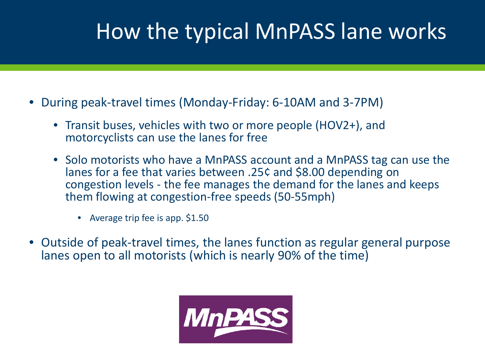# How the typical MnPASS lane works

- During peak-travel times (Monday-Friday: 6-10AM and 3-7PM)
	- Transit buses, vehicles with two or more people (HOV2+), and motorcyclists can use the lanes for free
	- Solo motorists who have a MnPASS account and a MnPASS tag can use the lanes for a fee that varies between .25¢ and \$8.00 depending on congestion levels - the fee manages the demand for the lanes and keeps them flowing at congestion-free speeds (50-55mph)
		- Average trip fee is app. \$1.50
- Outside of peak-travel times, the lanes function as regular general purpose lanes open to all motorists (which is nearly 90% of the time)

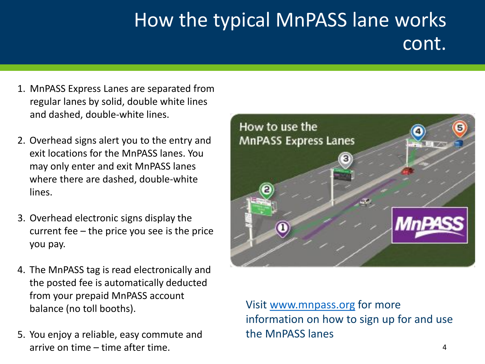# How the typical MnPASS lane works cont.

- 1. MnPASS Express Lanes are separated from regular lanes by solid, double white lines and dashed, double-white lines.
- 2. Overhead signs alert you to the entry and exit locations for the MnPASS lanes. You may only enter and exit MnPASS lanes where there are dashed, double-white lines.
- 3. Overhead electronic signs display the current fee – the price you see is the price you pay.
- 4. The MnPASS tag is read electronically and the posted fee is automatically deducted from your prepaid MnPASS account balance (no toll booths).
- 5. You enjoy a reliable, easy commute and arrive on time – time after time.



Visit [www.mnpass.org](http://www.mnpass.org/) for more information on how to sign up for and use the MnPASS lanes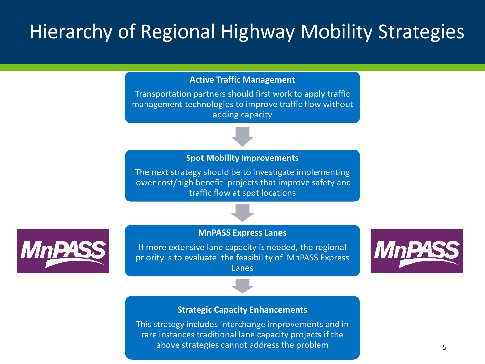## Hierarchy of Regional Highway Mobility Strategies

#### **Active Traffic Management**

Transportation partners should first work to apply traffic management technologies to improve traffic flow without adding capacity

#### **Spot Mobility Improvements**

The next strategy should be to investigate implementing lower cost/high benefit projects that improve safety and traffic flow at spot locations

#### **MnPASS Express Lanes**

MnF

If more extensive lane capacity is needed, the regional priority is to evaluate the feasibility of MnPASS Express Lanes



#### **Strategic Capacity Enhancements**

This strategy includes interchange improvements and in rare instances traditional lane capacity projects if the above strategies cannot address the problem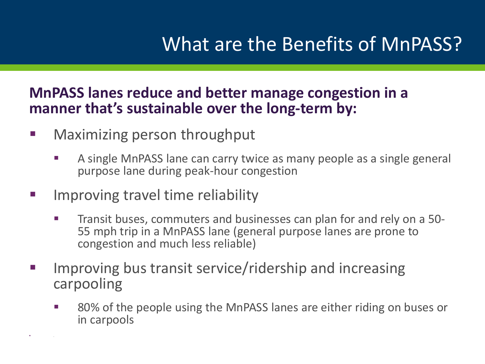### What are the Benefits of MnPASS?

### **MnPASS lanes reduce and better manage congestion in a manner that's sustainable over the long-term by:**

- Maximizing person throughput
	- A single MnPASS lane can carry twice as many people as a single general purpose lane during peak-hour congestion
- Improving travel time reliability

.

- Transit buses, commuters and businesses can plan for and rely on a 50- 55 mph trip in a MnPASS lane (general purpose lanes are prone to congestion and much less reliable)
- Improving bus transit service/ridership and increasing carpooling
	- 80% of the people using the MnPASS lanes are either riding on buses or in carpools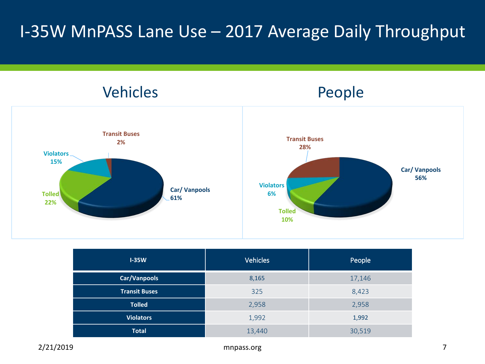### I-35W MnPASS Lane Use – 2017 Average Daily Throughput



| $I-35W$              | <b>Vehicles</b> | People |
|----------------------|-----------------|--------|
| Car/Vanpools         | 8,165           | 17,146 |
| <b>Transit Buses</b> | 325             | 8,423  |
| <b>Tolled</b>        | 2,958           | 2,958  |
| <b>Violators</b>     | 1,992           | 1,992  |
| <b>Total</b>         | 13,440          | 30,519 |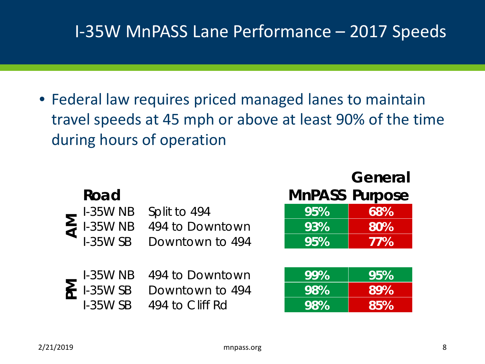### I-35W MnPASS Lane Performance – 2017 Speeds

• Federal law requires priced managed lanes to maintain travel speeds at 45 mph or above at least 90% of the time during hours of operation

| Road<br><b>I-35W NB</b><br>Split to 494<br>$\sum_{i=35}$ 1-35W NB<br><b>I-35W SB</b> | 494 to Downtown<br>Downtown to 494 | 95%<br>93%<br>95% | General<br><b>MnPASS Purpose</b><br>68%<br>80%<br>77% |
|--------------------------------------------------------------------------------------|------------------------------------|-------------------|-------------------------------------------------------|
| $1-35W$ NB<br>$\sum_{n=1}^{\infty} 1.35WSB$<br><b>I-35W SB</b><br>494 to Cliff Rd    | 494 to Downtown<br>Downtown to 494 | 99%<br>98%<br>98% | 95%<br>89%<br>85%                                     |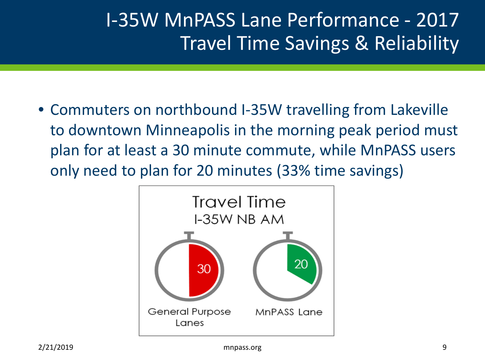## I-35W MnPASS Lane Performance - 2017 Travel Time Savings & Reliability

• Commuters on northbound I-35W travelling from Lakeville to downtown Minneapolis in the morning peak period must plan for at least a 30 minute commute, while MnPASS users only need to plan for 20 minutes (33% time savings)

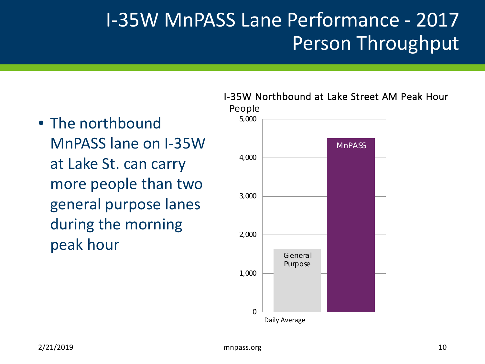### I-35W MnPASS Lane Performance - 2017 Person Throughput

### • The northbound MnPASS lane on I-35W at Lake St. can carry more people than two general purpose lanes during the morning peak hour

#### I-35W Northbound at Lake Street AM Peak Hour

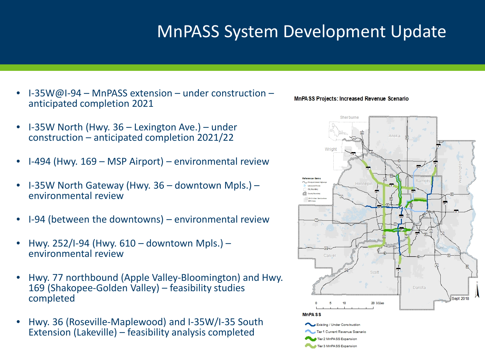### MnPASS System Development Update

- I-35W@I-94 MnPASS extension under construction anticipated completion 2021
- I-35W North (Hwy. 36 Lexington Ave.) under construction – anticipated completion 2021/22
- I-494 (Hwy. 169 MSP Airport) environmental review
- I-35W North Gateway (Hwy. 36 downtown Mpls.) environmental review
- I-94 (between the downtowns) environmental review
- Hwy. 252/I-94 (Hwy. 610 downtown Mpls.) environmental review
- Hwy. 77 northbound (Apple Valley-Bloomington) and Hwy. 169 (Shakopee-Golden Valley) – feasibility studies completed
- Hwy. 36 (Roseville-Maplewood) and I-35W/I-35 South Extension (Lakeville) – feasibility analysis completed



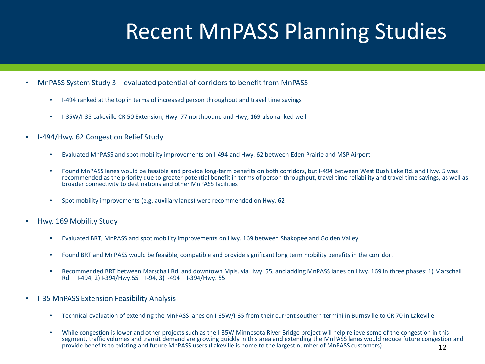# Recent MnPASS Planning Studies

- MnPASS System Study 3 evaluated potential of corridors to benefit from MnPASS
	- I-494 ranked at the top in terms of increased person throughput and travel time savings
	- I-35W/I-35 Lakeville CR 50 Extension, Hwy. 77 northbound and Hwy, 169 also ranked well
- I-494/Hwy. 62 Congestion Relief Study
	- Evaluated MnPASS and spot mobility improvements on I-494 and Hwy. 62 between Eden Prairie and MSP Airport
	- Found MnPASS lanes would be feasible and provide long-term benefits on both corridors, but I-494 between West Bush Lake Rd. and Hwy. 5 was recommended as the priority due to greater potential benefit in terms of person throughput, travel time reliability and travel time savings, as well as broader connectivity to destinations and other MnPASS facilities
	- Spot mobility improvements (e.g. auxiliary lanes) were recommended on Hwy. 62
- Hwy. 169 Mobility Study
	- Evaluated BRT, MnPASS and spot mobility improvements on Hwy. 169 between Shakopee and Golden Valley
	- Found BRT and MnPASS would be feasible, compatible and provide significant long term mobility benefits in the corridor.
	- Recommended BRT between Marschall Rd. and downtown Mpls. via Hwy. 55, and adding MnPASS lanes on Hwy. 169 in three phases: 1) Marschall Rd. – I-494, 2) I-394/Hwy.55 – I-94, 3) I-494 – I-394/Hwy. 55
- I-35 MnPASS Extension Feasibility Analysis
	- Technical evaluation of extending the MnPASS lanes on I-35W/I-35 from their current southern termini in Burnsville to CR 70 in Lakeville
	- While congestion is lower and other projects such as the I-35W Minnesota River Bridge project will help relieve some of the congestion in this segment, traffic volumes and transit demand are growing quickly in this area and extending the MnPASS lanes would reduce future congestion and provide benefits to existing and future MnPASS users (Lakeville is home to the largest number of MnPASS customers) 12